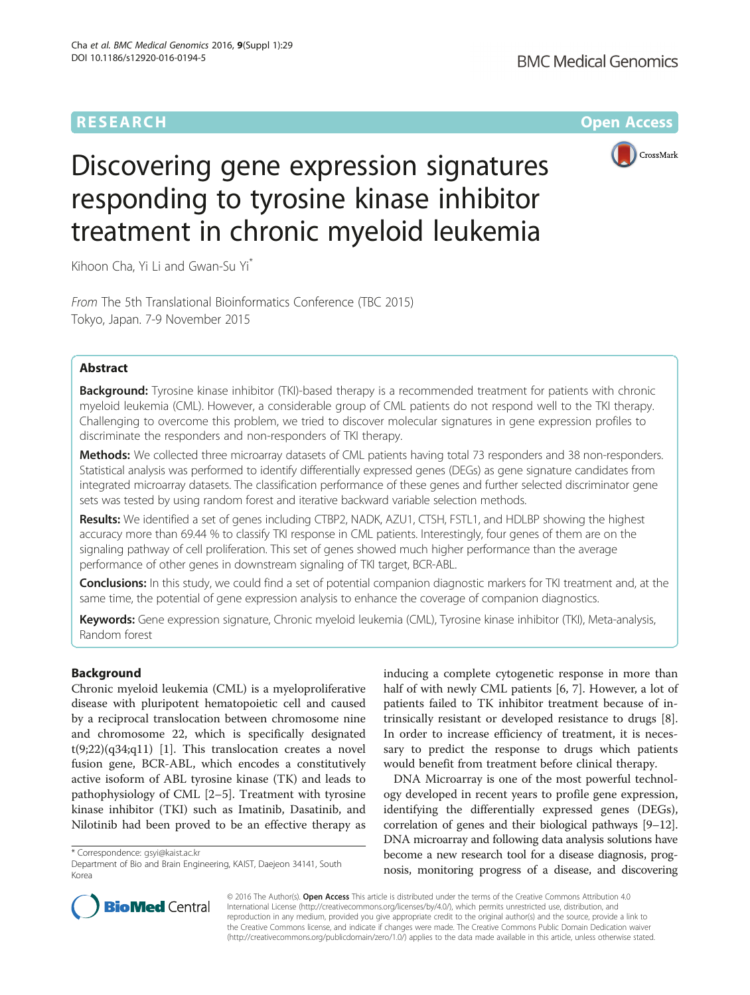# **RESEARCH CHE Open Access**



# Discovering gene expression signatures responding to tyrosine kinase inhibitor treatment in chronic myeloid leukemia

Kihoon Cha, Yi Li and Gwan-Su Yi\*

From The 5th Translational Bioinformatics Conference (TBC 2015) Tokyo, Japan. 7-9 November 2015

# Abstract

Background: Tyrosine kinase inhibitor (TKI)-based therapy is a recommended treatment for patients with chronic myeloid leukemia (CML). However, a considerable group of CML patients do not respond well to the TKI therapy. Challenging to overcome this problem, we tried to discover molecular signatures in gene expression profiles to discriminate the responders and non-responders of TKI therapy.

Methods: We collected three microarray datasets of CML patients having total 73 responders and 38 non-responders. Statistical analysis was performed to identify differentially expressed genes (DEGs) as gene signature candidates from integrated microarray datasets. The classification performance of these genes and further selected discriminator gene sets was tested by using random forest and iterative backward variable selection methods.

Results: We identified a set of genes including CTBP2, NADK, AZU1, CTSH, FSTL1, and HDLBP showing the highest accuracy more than 69.44 % to classify TKI response in CML patients. Interestingly, four genes of them are on the signaling pathway of cell proliferation. This set of genes showed much higher performance than the average performance of other genes in downstream signaling of TKI target, BCR-ABL.

Conclusions: In this study, we could find a set of potential companion diagnostic markers for TKI treatment and, at the same time, the potential of gene expression analysis to enhance the coverage of companion diagnostics.

Keywords: Gene expression signature, Chronic myeloid leukemia (CML), Tyrosine kinase inhibitor (TKI), Meta-analysis, Random forest

# Background

Chronic myeloid leukemia (CML) is a myeloproliferative disease with pluripotent hematopoietic cell and caused by a reciprocal translocation between chromosome nine and chromosome 22, which is specifically designated  $t(9;22)(q34;q11)$  [[1\]](#page-6-0). This translocation creates a novel fusion gene, BCR-ABL, which encodes a constitutively active isoform of ABL tyrosine kinase (TK) and leads to pathophysiology of CML [[2](#page-6-0)–[5](#page-6-0)]. Treatment with tyrosine kinase inhibitor (TKI) such as Imatinib, Dasatinib, and Nilotinib had been proved to be an effective therapy as

\* Correspondence: [gsyi@kaist.ac.kr](mailto:gsyi@kaist.ac.kr)

inducing a complete cytogenetic response in more than half of with newly CML patients [[6](#page-6-0), [7\]](#page-6-0). However, a lot of patients failed to TK inhibitor treatment because of intrinsically resistant or developed resistance to drugs [\[8](#page-6-0)]. In order to increase efficiency of treatment, it is necessary to predict the response to drugs which patients would benefit from treatment before clinical therapy.

DNA Microarray is one of the most powerful technology developed in recent years to profile gene expression, identifying the differentially expressed genes (DEGs), correlation of genes and their biological pathways [\[9](#page-6-0)–[12](#page-6-0)]. DNA microarray and following data analysis solutions have become a new research tool for a disease diagnosis, prognosis, monitoring progress of a disease, and discovering



© 2016 The Author(s). Open Access This article is distributed under the terms of the Creative Commons Attribution 4.0 International License [\(http://creativecommons.org/licenses/by/4.0/](http://creativecommons.org/licenses/by/4.0/)), which permits unrestricted use, distribution, and reproduction in any medium, provided you give appropriate credit to the original author(s) and the source, provide a link to the Creative Commons license, and indicate if changes were made. The Creative Commons Public Domain Dedication waiver [\(http://creativecommons.org/publicdomain/zero/1.0/](http://creativecommons.org/publicdomain/zero/1.0/)) applies to the data made available in this article, unless otherwise stated.

Department of Bio and Brain Engineering, KAIST, Daejeon 34141, South Korea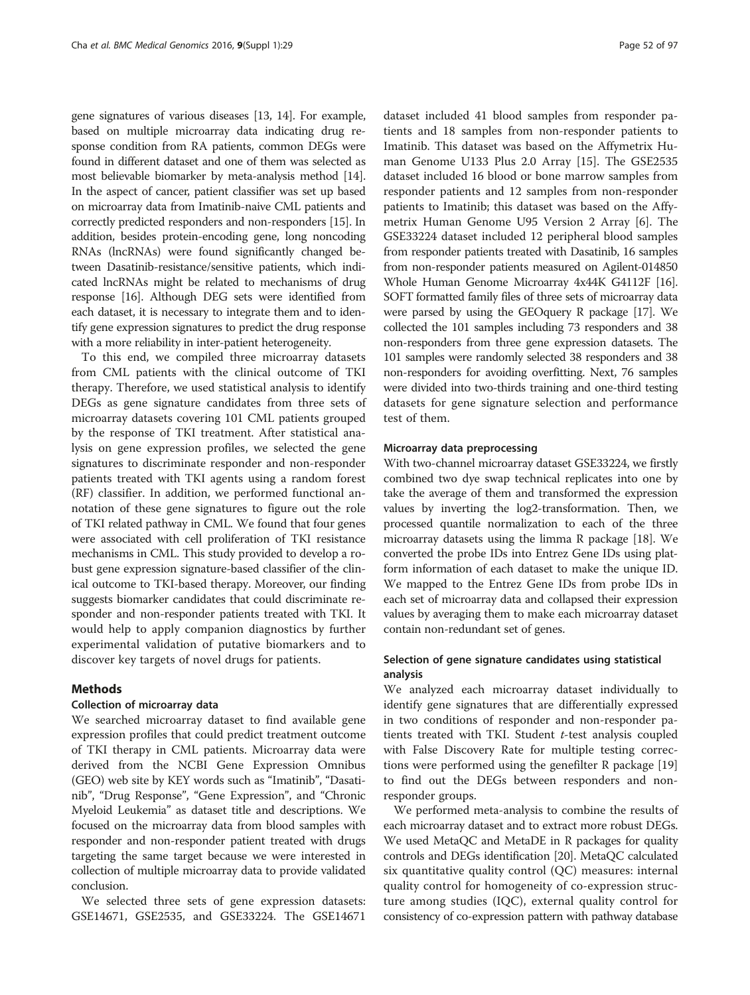gene signatures of various diseases [\[13, 14](#page-6-0)]. For example, based on multiple microarray data indicating drug response condition from RA patients, common DEGs were found in different dataset and one of them was selected as most believable biomarker by meta-analysis method [[14](#page-6-0)]. In the aspect of cancer, patient classifier was set up based on microarray data from Imatinib-naive CML patients and correctly predicted responders and non-responders [[15](#page-6-0)]. In addition, besides protein-encoding gene, long noncoding RNAs (lncRNAs) were found significantly changed between Dasatinib-resistance/sensitive patients, which indicated lncRNAs might be related to mechanisms of drug response [\[16\]](#page-6-0). Although DEG sets were identified from each dataset, it is necessary to integrate them and to identify gene expression signatures to predict the drug response with a more reliability in inter-patient heterogeneity.

To this end, we compiled three microarray datasets from CML patients with the clinical outcome of TKI therapy. Therefore, we used statistical analysis to identify DEGs as gene signature candidates from three sets of microarray datasets covering 101 CML patients grouped by the response of TKI treatment. After statistical analysis on gene expression profiles, we selected the gene signatures to discriminate responder and non-responder patients treated with TKI agents using a random forest (RF) classifier. In addition, we performed functional annotation of these gene signatures to figure out the role of TKI related pathway in CML. We found that four genes were associated with cell proliferation of TKI resistance mechanisms in CML. This study provided to develop a robust gene expression signature-based classifier of the clinical outcome to TKI-based therapy. Moreover, our finding suggests biomarker candidates that could discriminate responder and non-responder patients treated with TKI. It would help to apply companion diagnostics by further experimental validation of putative biomarkers and to discover key targets of novel drugs for patients.

### Methods

#### Collection of microarray data

We searched microarray dataset to find available gene expression profiles that could predict treatment outcome of TKI therapy in CML patients. Microarray data were derived from the NCBI Gene Expression Omnibus (GEO) web site by KEY words such as "Imatinib", "Dasatinib", "Drug Response", "Gene Expression", and "Chronic Myeloid Leukemia" as dataset title and descriptions. We focused on the microarray data from blood samples with responder and non-responder patient treated with drugs targeting the same target because we were interested in collection of multiple microarray data to provide validated conclusion.

We selected three sets of gene expression datasets: GSE14671, GSE2535, and GSE33224. The GSE14671

dataset included 41 blood samples from responder patients and 18 samples from non-responder patients to Imatinib. This dataset was based on the Affymetrix Human Genome U133 Plus 2.0 Array [\[15\]](#page-6-0). The GSE2535 dataset included 16 blood or bone marrow samples from responder patients and 12 samples from non-responder patients to Imatinib; this dataset was based on the Affymetrix Human Genome U95 Version 2 Array [[6\]](#page-6-0). The GSE33224 dataset included 12 peripheral blood samples from responder patients treated with Dasatinib, 16 samples from non-responder patients measured on Agilent-014850 Whole Human Genome Microarray 4x44K G4112F [\[16](#page-6-0)]. SOFT formatted family files of three sets of microarray data were parsed by using the GEOquery R package [\[17](#page-6-0)]. We collected the 101 samples including 73 responders and 38 non-responders from three gene expression datasets. The 101 samples were randomly selected 38 responders and 38 non-responders for avoiding overfitting. Next, 76 samples were divided into two-thirds training and one-third testing datasets for gene signature selection and performance test of them.

#### Microarray data preprocessing

With two-channel microarray dataset GSE33224, we firstly combined two dye swap technical replicates into one by take the average of them and transformed the expression values by inverting the log2-transformation. Then, we processed quantile normalization to each of the three microarray datasets using the limma R package [[18\]](#page-6-0). We converted the probe IDs into Entrez Gene IDs using platform information of each dataset to make the unique ID. We mapped to the Entrez Gene IDs from probe IDs in each set of microarray data and collapsed their expression values by averaging them to make each microarray dataset contain non-redundant set of genes.

# Selection of gene signature candidates using statistical analysis

We analyzed each microarray dataset individually to identify gene signatures that are differentially expressed in two conditions of responder and non-responder patients treated with TKI. Student t-test analysis coupled with False Discovery Rate for multiple testing corrections were performed using the genefilter R package [[19](#page-6-0)] to find out the DEGs between responders and nonresponder groups.

We performed meta-analysis to combine the results of each microarray dataset and to extract more robust DEGs. We used MetaQC and MetaDE in R packages for quality controls and DEGs identification [\[20\]](#page-6-0). MetaQC calculated six quantitative quality control (QC) measures: internal quality control for homogeneity of co-expression structure among studies (IQC), external quality control for consistency of co-expression pattern with pathway database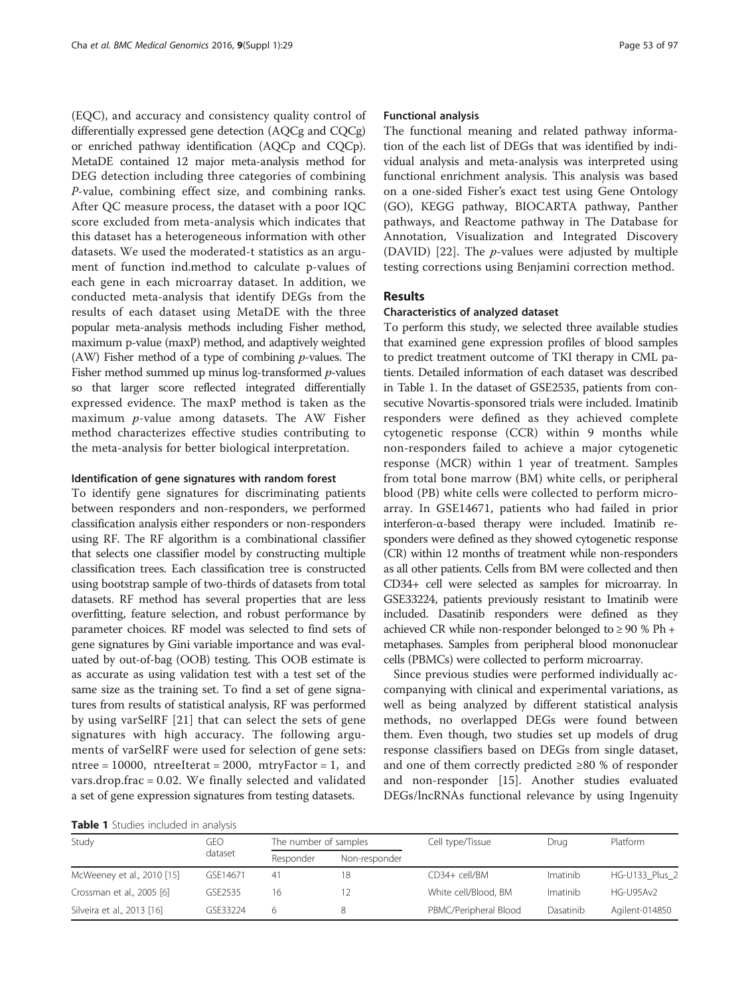(EQC), and accuracy and consistency quality control of differentially expressed gene detection (AQCg and CQCg) or enriched pathway identification (AQCp and CQCp). MetaDE contained 12 major meta-analysis method for DEG detection including three categories of combining P-value, combining effect size, and combining ranks. After QC measure process, the dataset with a poor IQC score excluded from meta-analysis which indicates that this dataset has a heterogeneous information with other datasets. We used the moderated-t statistics as an argument of function ind.method to calculate p-values of each gene in each microarray dataset. In addition, we conducted meta-analysis that identify DEGs from the results of each dataset using MetaDE with the three popular meta-analysis methods including Fisher method, maximum p-value (maxP) method, and adaptively weighted (AW) Fisher method of a type of combining  $p$ -values. The Fisher method summed up minus log-transformed p-values so that larger score reflected integrated differentially expressed evidence. The maxP method is taken as the maximum p-value among datasets. The AW Fisher method characterizes effective studies contributing to the meta-analysis for better biological interpretation.

#### Identification of gene signatures with random forest

To identify gene signatures for discriminating patients between responders and non-responders, we performed classification analysis either responders or non-responders using RF. The RF algorithm is a combinational classifier that selects one classifier model by constructing multiple classification trees. Each classification tree is constructed using bootstrap sample of two-thirds of datasets from total datasets. RF method has several properties that are less overfitting, feature selection, and robust performance by parameter choices. RF model was selected to find sets of gene signatures by Gini variable importance and was evaluated by out-of-bag (OOB) testing. This OOB estimate is as accurate as using validation test with a test set of the same size as the training set. To find a set of gene signatures from results of statistical analysis, RF was performed by using varSelRF [\[21](#page-6-0)] that can select the sets of gene signatures with high accuracy. The following arguments of varSelRF were used for selection of gene sets: ntree = 10000, ntreeIterat = 2000, mtryFactor = 1, and vars.drop.frac = 0.02. We finally selected and validated a set of gene expression signatures from testing datasets.

#### Functional analysis

The functional meaning and related pathway information of the each list of DEGs that was identified by individual analysis and meta-analysis was interpreted using functional enrichment analysis. This analysis was based on a one-sided Fisher's exact test using Gene Ontology (GO), KEGG pathway, BIOCARTA pathway, Panther pathways, and Reactome pathway in The Database for Annotation, Visualization and Integrated Discovery (DAVID)  $[22]$  $[22]$ . The *p*-values were adjusted by multiple testing corrections using Benjamini correction method.

# Results

## Characteristics of analyzed dataset

To perform this study, we selected three available studies that examined gene expression profiles of blood samples to predict treatment outcome of TKI therapy in CML patients. Detailed information of each dataset was described in Table 1. In the dataset of GSE2535, patients from consecutive Novartis-sponsored trials were included. Imatinib responders were defined as they achieved complete cytogenetic response (CCR) within 9 months while non-responders failed to achieve a major cytogenetic response (MCR) within 1 year of treatment. Samples from total bone marrow (BM) white cells, or peripheral blood (PB) white cells were collected to perform microarray. In GSE14671, patients who had failed in prior interferon-α-based therapy were included. Imatinib responders were defined as they showed cytogenetic response (CR) within 12 months of treatment while non-responders as all other patients. Cells from BM were collected and then CD34+ cell were selected as samples for microarray. In GSE33224, patients previously resistant to Imatinib were included. Dasatinib responders were defined as they achieved CR while non-responder belonged to  $\geq 90$  % Ph + metaphases. Samples from peripheral blood mononuclear cells (PBMCs) were collected to perform microarray.

Since previous studies were performed individually accompanying with clinical and experimental variations, as well as being analyzed by different statistical analysis methods, no overlapped DEGs were found between them. Even though, two studies set up models of drug response classifiers based on DEGs from single dataset, and one of them correctly predicted ≥80 % of responder and non-responder [\[15\]](#page-6-0). Another studies evaluated DEGs/lncRNAs functional relevance by using Ingenuity

| Table 1 Studies included in analysis |
|--------------------------------------|
|                                      |

| Study                      | GEO<br>dataset | The number of samples |               | Cell type/Tissue      | Drug      | Platform         |  |  |
|----------------------------|----------------|-----------------------|---------------|-----------------------|-----------|------------------|--|--|
|                            |                | Responder             | Non-responder |                       |           |                  |  |  |
| McWeeney et al., 2010 [15] | GSF14671       | 41                    | 18            | CD34+ cell/BM         | Imatinib  | HG-U133 Plus 2   |  |  |
| Crossman et al., 2005 [6]  | GSF2535        | 16                    |               | White cell/Blood, BM  | Imatinib  | <b>HG-U95Av2</b> |  |  |
| Silveira et al., 2013 [16] | GSE33224       | 6                     |               | PBMC/Peripheral Blood | Dasatinib | Agilent-014850   |  |  |
|                            |                |                       |               |                       |           |                  |  |  |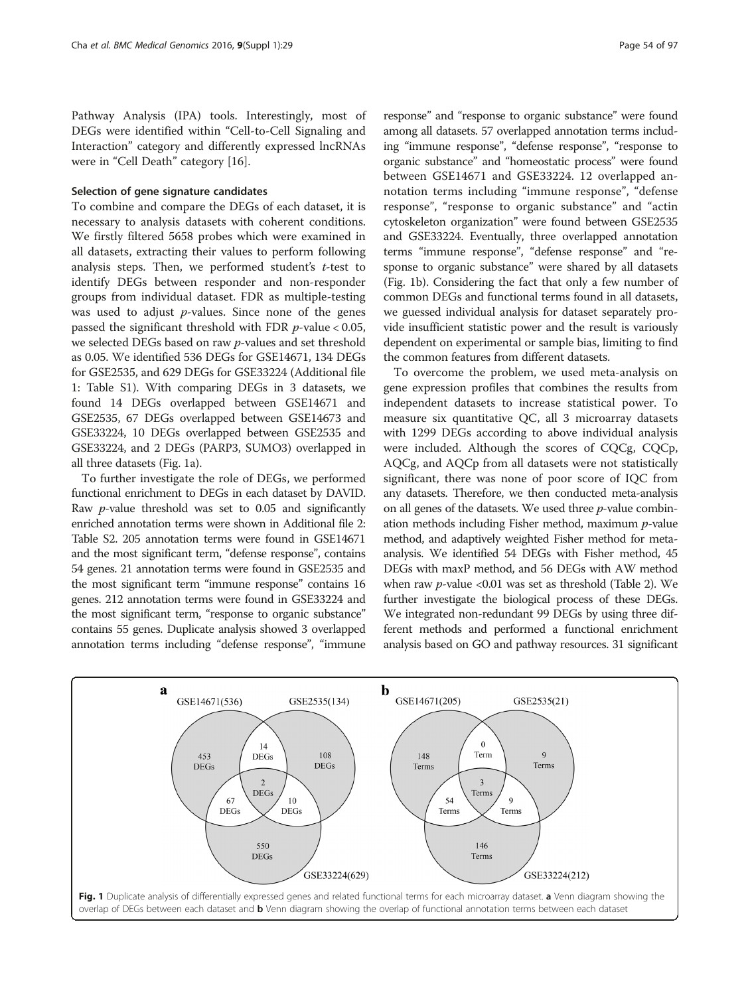Pathway Analysis (IPA) tools. Interestingly, most of DEGs were identified within "Cell-to-Cell Signaling and Interaction" category and differently expressed lncRNAs were in "Cell Death" category [[16\]](#page-6-0).

#### Selection of gene signature candidates

To combine and compare the DEGs of each dataset, it is necessary to analysis datasets with coherent conditions. We firstly filtered 5658 probes which were examined in all datasets, extracting their values to perform following analysis steps. Then, we performed student's  $t$ -test to identify DEGs between responder and non-responder groups from individual dataset. FDR as multiple-testing was used to adjust  $p$ -values. Since none of the genes passed the significant threshold with FDR  $p$ -value < 0.05, we selected DEGs based on raw p-values and set threshold as 0.05. We identified 536 DEGs for GSE14671, 134 DEGs for GSE2535, and 629 DEGs for GSE33224 (Additional file [1:](#page-6-0) Table S1). With comparing DEGs in 3 datasets, we found 14 DEGs overlapped between GSE14671 and GSE2535, 67 DEGs overlapped between GSE14673 and GSE33224, 10 DEGs overlapped between GSE2535 and GSE33224, and 2 DEGs (PARP3, SUMO3) overlapped in all three datasets (Fig. 1a).

To further investigate the role of DEGs, we performed functional enrichment to DEGs in each dataset by DAVID. Raw p-value threshold was set to 0.05 and significantly enriched annotation terms were shown in Additional file [2](#page-6-0): Table S2. 205 annotation terms were found in GSE14671 and the most significant term, "defense response", contains 54 genes. 21 annotation terms were found in GSE2535 and the most significant term "immune response" contains 16 genes. 212 annotation terms were found in GSE33224 and the most significant term, "response to organic substance" contains 55 genes. Duplicate analysis showed 3 overlapped annotation terms including "defense response", "immune response" and "response to organic substance" were found among all datasets. 57 overlapped annotation terms including "immune response", "defense response", "response to organic substance" and "homeostatic process" were found between GSE14671 and GSE33224. 12 overlapped annotation terms including "immune response", "defense response", "response to organic substance" and "actin cytoskeleton organization" were found between GSE2535 and GSE33224. Eventually, three overlapped annotation terms "immune response", "defense response" and "response to organic substance" were shared by all datasets (Fig. 1b). Considering the fact that only a few number of common DEGs and functional terms found in all datasets, we guessed individual analysis for dataset separately provide insufficient statistic power and the result is variously dependent on experimental or sample bias, limiting to find the common features from different datasets.

To overcome the problem, we used meta-analysis on gene expression profiles that combines the results from independent datasets to increase statistical power. To measure six quantitative QC, all 3 microarray datasets with 1299 DEGs according to above individual analysis were included. Although the scores of CQCg, CQCp, AQCg, and AQCp from all datasets were not statistically significant, there was none of poor score of IQC from any datasets. Therefore, we then conducted meta-analysis on all genes of the datasets. We used three  $p$ -value combination methods including Fisher method, maximum p-value method, and adaptively weighted Fisher method for metaanalysis. We identified 54 DEGs with Fisher method, 45 DEGs with maxP method, and 56 DEGs with AW method when raw  $p$ -value <0.01 was set as threshold (Table [2](#page-4-0)). We further investigate the biological process of these DEGs. We integrated non-redundant 99 DEGs by using three different methods and performed a functional enrichment analysis based on GO and pathway resources. 31 significant

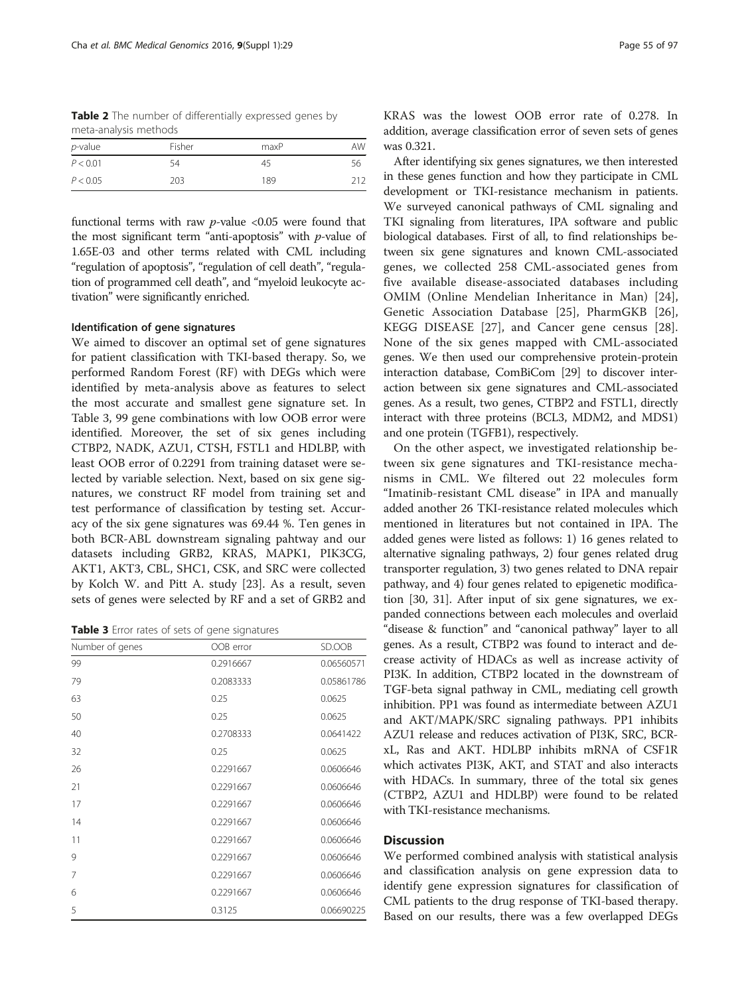<span id="page-4-0"></span>Table 2 The number of differentially expressed genes by meta-analysis methods

| $p$ -value | Fisher | maxP | AW  |
|------------|--------|------|-----|
| P < 0.01   | 54     | 45   | 56  |
| P < 0.05   | 203    | 189  | 212 |

functional terms with raw  $p$ -value <0.05 were found that the most significant term "anti-apoptosis" with  $p$ -value of 1.65E-03 and other terms related with CML including "regulation of apoptosis", "regulation of cell death", "regulation of programmed cell death", and "myeloid leukocyte activation" were significantly enriched.

#### Identification of gene signatures

We aimed to discover an optimal set of gene signatures for patient classification with TKI-based therapy. So, we performed Random Forest (RF) with DEGs which were identified by meta-analysis above as features to select the most accurate and smallest gene signature set. In Table 3, 99 gene combinations with low OOB error were identified. Moreover, the set of six genes including CTBP2, NADK, AZU1, CTSH, FSTL1 and HDLBP, with least OOB error of 0.2291 from training dataset were selected by variable selection. Next, based on six gene signatures, we construct RF model from training set and test performance of classification by testing set. Accuracy of the six gene signatures was 69.44 %. Ten genes in both BCR-ABL downstream signaling pahtway and our datasets including GRB2, KRAS, MAPK1, PIK3CG, AKT1, AKT3, CBL, SHC1, CSK, and SRC were collected by Kolch W. and Pitt A. study [\[23](#page-6-0)]. As a result, seven sets of genes were selected by RF and a set of GRB2 and

Table 3 Error rates of sets of gene signatures

| Number of genes | OOB error | SD.OOB     |
|-----------------|-----------|------------|
| 99              | 0.2916667 | 0.06560571 |
| 79              | 0.2083333 | 0.05861786 |
| 63              | 0.25      | 0.0625     |
| 50              | 0.25      | 0.0625     |
| 40              | 0.2708333 | 0.0641422  |
| 32              | 0.25      | 0.0625     |
| 26              | 0.2291667 | 0.0606646  |
| 21              | 0.2291667 | 0.0606646  |
| 17              | 0.2291667 | 0.0606646  |
| 14              | 0.2291667 | 0.0606646  |
| 11              | 0.2291667 | 0.0606646  |
| 9               | 0.2291667 | 0.0606646  |
| 7               | 0.2291667 | 0.0606646  |
| 6               | 0.2291667 | 0.0606646  |
| 5               | 0.3125    | 0.06690225 |

KRAS was the lowest OOB error rate of 0.278. In addition, average classification error of seven sets of genes was 0.321.

After identifying six genes signatures, we then interested in these genes function and how they participate in CML development or TKI-resistance mechanism in patients. We surveyed canonical pathways of CML signaling and TKI signaling from literatures, IPA software and public biological databases. First of all, to find relationships between six gene signatures and known CML-associated genes, we collected 258 CML-associated genes from five available disease-associated databases including OMIM (Online Mendelian Inheritance in Man) [\[24](#page-6-0)], Genetic Association Database [[25\]](#page-6-0), PharmGKB [\[26](#page-6-0)], KEGG DISEASE [\[27](#page-7-0)], and Cancer gene census [\[28](#page-7-0)]. None of the six genes mapped with CML-associated genes. We then used our comprehensive protein-protein interaction database, ComBiCom [[29](#page-7-0)] to discover interaction between six gene signatures and CML-associated genes. As a result, two genes, CTBP2 and FSTL1, directly interact with three proteins (BCL3, MDM2, and MDS1) and one protein (TGFB1), respectively.

On the other aspect, we investigated relationship between six gene signatures and TKI-resistance mechanisms in CML. We filtered out 22 molecules form "Imatinib-resistant CML disease" in IPA and manually added another 26 TKI-resistance related molecules which mentioned in literatures but not contained in IPA. The added genes were listed as follows: 1) 16 genes related to alternative signaling pathways, 2) four genes related drug transporter regulation, 3) two genes related to DNA repair pathway, and 4) four genes related to epigenetic modification [\[30, 31\]](#page-7-0). After input of six gene signatures, we expanded connections between each molecules and overlaid "disease & function" and "canonical pathway" layer to all genes. As a result, CTBP2 was found to interact and decrease activity of HDACs as well as increase activity of PI3K. In addition, CTBP2 located in the downstream of TGF-beta signal pathway in CML, mediating cell growth inhibition. PP1 was found as intermediate between AZU1 and AKT/MAPK/SRC signaling pathways. PP1 inhibits AZU1 release and reduces activation of PI3K, SRC, BCRxL, Ras and AKT. HDLBP inhibits mRNA of CSF1R which activates PI3K, AKT, and STAT and also interacts with HDACs. In summary, three of the total six genes (CTBP2, AZU1 and HDLBP) were found to be related with TKI-resistance mechanisms.

#### **Discussion**

We performed combined analysis with statistical analysis and classification analysis on gene expression data to identify gene expression signatures for classification of CML patients to the drug response of TKI-based therapy. Based on our results, there was a few overlapped DEGs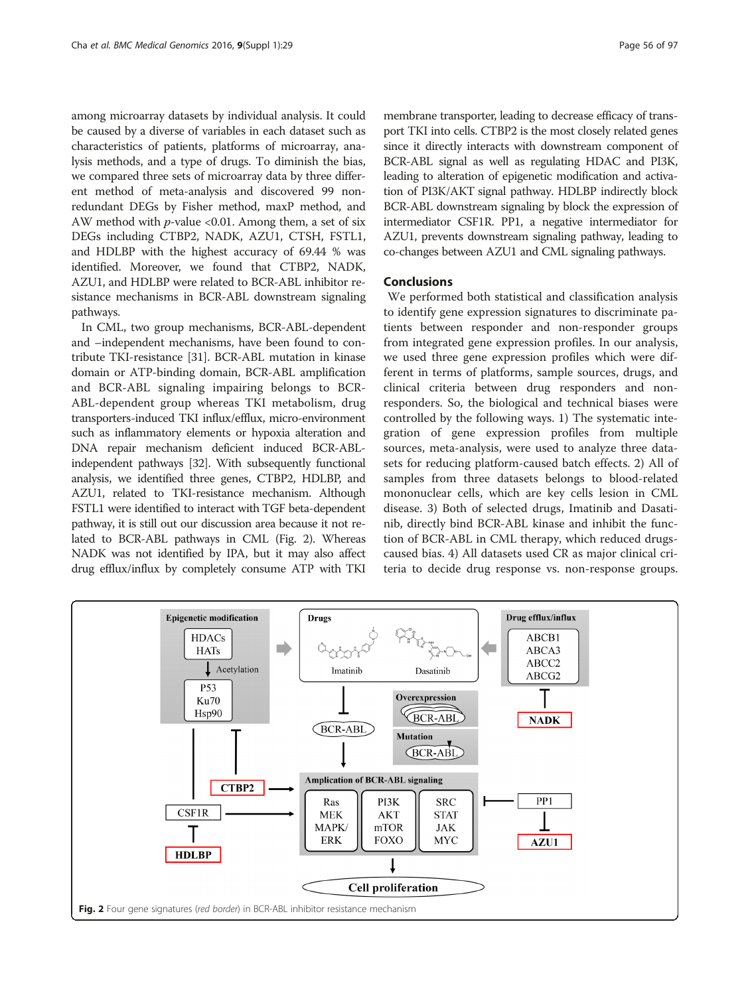among microarray datasets by individual analysis. It could be caused by a diverse of variables in each dataset such as characteristics of patients, platforms of microarray, analysis methods, and a type of drugs. To diminish the bias, we compared three sets of microarray data by three different method of meta-analysis and discovered 99 nonredundant DEGs by Fisher method, maxP method, and AW method with *p*-value <0.01. Among them, a set of six DEGs including CTBP2, NADK, AZU1, CTSH, FSTL1, and HDLBP with the highest accuracy of 69.44 % was identified. Moreover, we found that CTBP2, NADK, AZU1, and HDLBP were related to BCR-ABL inhibitor resistance mechanisms in BCR-ABL downstream signaling pathways.

In CML, two group mechanisms, BCR-ABL-dependent and –independent mechanisms, have been found to contribute TKI-resistance [[31\]](#page-7-0). BCR-ABL mutation in kinase domain or ATP-binding domain, BCR-ABL amplification and BCR-ABL signaling impairing belongs to BCR-ABL-dependent group whereas TKI metabolism, drug transporters-induced TKI influx/efflux, micro-environment such as inflammatory elements or hypoxia alteration and DNA repair mechanism deficient induced BCR-ABLindependent pathways [\[32](#page-7-0)]. With subsequently functional analysis, we identified three genes, CTBP2, HDLBP, and AZU1, related to TKI-resistance mechanism. Although FSTL1 were identified to interact with TGF beta-dependent pathway, it is still out our discussion area because it not related to BCR-ABL pathways in CML (Fig. 2). Whereas NADK was not identified by IPA, but it may also affect drug efflux/influx by completely consume ATP with TKI

membrane transporter, leading to decrease efficacy of transport TKI into cells. CTBP2 is the most closely related genes since it directly interacts with downstream component of BCR-ABL signal as well as regulating HDAC and PI3K, leading to alteration of epigenetic modification and activation of PI3K/AKT signal pathway. HDLBP indirectly block BCR-ABL downstream signaling by block the expression of intermediator CSF1R. PP1, a negative intermediator for AZU1, prevents downstream signaling pathway, leading to co-changes between AZU1 and CML signaling pathways.

# Conclusions

We performed both statistical and classification analysis to identify gene expression signatures to discriminate patients between responder and non-responder groups from integrated gene expression profiles. In our analysis, we used three gene expression profiles which were different in terms of platforms, sample sources, drugs, and clinical criteria between drug responders and nonresponders. So, the biological and technical biases were controlled by the following ways. 1) The systematic integration of gene expression profiles from multiple sources, meta-analysis, were used to analyze three datasets for reducing platform-caused batch effects. 2) All of samples from three datasets belongs to blood-related mononuclear cells, which are key cells lesion in CML disease. 3) Both of selected drugs, Imatinib and Dasatinib, directly bind BCR-ABL kinase and inhibit the function of BCR-ABL in CML therapy, which reduced drugscaused bias. 4) All datasets used CR as major clinical criteria to decide drug response vs. non-response groups.

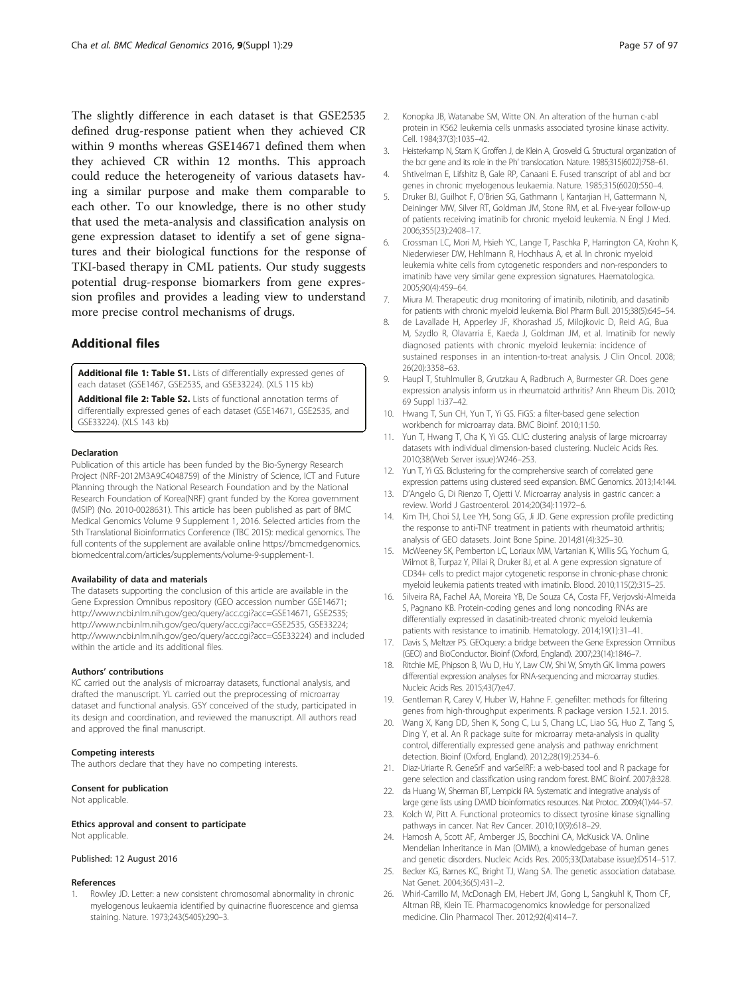<span id="page-6-0"></span>The slightly difference in each dataset is that GSE2535 defined drug-response patient when they achieved CR within 9 months whereas GSE14671 defined them when they achieved CR within 12 months. This approach could reduce the heterogeneity of various datasets having a similar purpose and make them comparable to each other. To our knowledge, there is no other study that used the meta-analysis and classification analysis on gene expression dataset to identify a set of gene signatures and their biological functions for the response of TKI-based therapy in CML patients. Our study suggests potential drug-response biomarkers from gene expression profiles and provides a leading view to understand more precise control mechanisms of drugs.

# Additional files

[Additional file 1: Table S1.](dx.doi.org/10.1186/s12920-016-0194-5) Lists of differentially expressed genes of each dataset (GSE1467, GSE2535, and GSE33224). (XLS 115 kb)

[Additional file 2: Table S2.](dx.doi.org/10.1186/s12920-016-0194-5) Lists of functional annotation terms of differentially expressed genes of each dataset (GSE14671, GSE2535, and GSE33224). (XLS 143 kb)

#### Declaration

Publication of this article has been funded by the Bio-Synergy Research Project (NRF-2012M3A9C4048759) of the Ministry of Science, ICT and Future Planning through the National Research Foundation and by the National Research Foundation of Korea(NRF) grant funded by the Korea government (MSIP) (No. 2010-0028631). This article has been published as part of BMC Medical Genomics Volume 9 Supplement 1, 2016. Selected articles from the 5th Translational Bioinformatics Conference (TBC 2015): medical genomics. The full contents of the supplement are available online [https://bmcmedgenomics.](https://bmcmedgenomics.biomedcentral.com/articles/supplements/volume-9-supplement-1) [biomedcentral.com/articles/supplements/volume-9-supplement-1](https://bmcmedgenomics.biomedcentral.com/articles/supplements/volume-9-supplement-1).

#### Availability of data and materials

The datasets supporting the conclusion of this article are available in the Gene Expression Omnibus repository (GEO accession number GSE14671; [http://www.ncbi.nlm.nih.gov/geo/query/acc.cgi?acc=GSE14671,](http://www.ncbi.nlm.nih.gov/geo/query/acc.cgi?acc=GSE14671) GSE2535; [http://www.ncbi.nlm.nih.gov/geo/query/acc.cgi?acc=GSE2535,](http://www.ncbi.nlm.nih.gov/geo/query/acc.cgi?acc=GSE2535) GSE33224; [http://www.ncbi.nlm.nih.gov/geo/query/acc.cgi?acc=GSE33224\)](http://www.ncbi.nlm.nih.gov/geo/query/acc.cgi?acc=GSE33224) and included within the article and its additional files.

#### Authors' contributions

KC carried out the analysis of microarray datasets, functional analysis, and drafted the manuscript. YL carried out the preprocessing of microarray dataset and functional analysis. GSY conceived of the study, participated in its design and coordination, and reviewed the manuscript. All authors read and approved the final manuscript.

#### Competing interests

The authors declare that they have no competing interests.

#### Consent for publication

Not applicable.

# Ethics approval and consent to participate

Not applicable.

#### Published: 12 August 2016

#### References

Rowley JD. Letter: a new consistent chromosomal abnormality in chronic myelogenous leukaemia identified by quinacrine fluorescence and giemsa staining. Nature. 1973;243(5405):290–3.

- 2. Konopka JB, Watanabe SM, Witte ON. An alteration of the human c-abl protein in K562 leukemia cells unmasks associated tyrosine kinase activity. Cell. 1984;37(3):1035–42.
- 3. Heisterkamp N, Stam K, Groffen J, de Klein A, Grosveld G. Structural organization of the bcr gene and its role in the Ph' translocation. Nature. 1985;315(6022):758–61.
- 4. Shtivelman E, Lifshitz B, Gale RP, Canaani E. Fused transcript of abl and bcr genes in chronic myelogenous leukaemia. Nature. 1985;315(6020):550–4.
- 5. Druker BJ, Guilhot F, O'Brien SG, Gathmann I, Kantarjian H, Gattermann N, Deininger MW, Silver RT, Goldman JM, Stone RM, et al. Five-year follow-up of patients receiving imatinib for chronic myeloid leukemia. N Engl J Med. 2006;355(23):2408–17.
- 6. Crossman LC, Mori M, Hsieh YC, Lange T, Paschka P, Harrington CA, Krohn K, Niederwieser DW, Hehlmann R, Hochhaus A, et al. In chronic myeloid leukemia white cells from cytogenetic responders and non-responders to imatinib have very similar gene expression signatures. Haematologica. 2005;90(4):459–64.
- 7. Miura M. Therapeutic drug monitoring of imatinib, nilotinib, and dasatinib for patients with chronic myeloid leukemia. Biol Pharm Bull. 2015;38(5):645–54.
- 8. de Lavallade H, Apperley JF, Khorashad JS, Milojkovic D, Reid AG, Bua M, Szydlo R, Olavarria E, Kaeda J, Goldman JM, et al. Imatinib for newly diagnosed patients with chronic myeloid leukemia: incidence of sustained responses in an intention-to-treat analysis. J Clin Oncol. 2008; 26(20):3358–63.
- 9. Haupl T, Stuhlmuller B, Grutzkau A, Radbruch A, Burmester GR. Does gene expression analysis inform us in rheumatoid arthritis? Ann Rheum Dis. 2010; 69 Suppl 1:i37–42.
- 10. Hwang T, Sun CH, Yun T, Yi GS. FiGS: a filter-based gene selection workbench for microarray data. BMC Bioinf. 2010;11:50.
- 11. Yun T, Hwang T, Cha K, Yi GS. CLIC: clustering analysis of large microarray datasets with individual dimension-based clustering. Nucleic Acids Res. 2010;38(Web Server issue):W246–253.
- 12. Yun T, Yi GS. Biclustering for the comprehensive search of correlated gene expression patterns using clustered seed expansion. BMC Genomics. 2013;14:144.
- 13. D'Angelo G, Di Rienzo T, Ojetti V. Microarray analysis in gastric cancer: a review. World J Gastroenterol. 2014;20(34):11972–6.
- 14. Kim TH, Choi SJ, Lee YH, Song GG, Ji JD. Gene expression profile predicting the response to anti-TNF treatment in patients with rheumatoid arthritis; analysis of GEO datasets. Joint Bone Spine. 2014;81(4):325–30.
- 15. McWeeney SK, Pemberton LC, Loriaux MM, Vartanian K, Willis SG, Yochum G, Wilmot B, Turpaz Y, Pillai R, Druker BJ, et al. A gene expression signature of CD34+ cells to predict major cytogenetic response in chronic-phase chronic myeloid leukemia patients treated with imatinib. Blood. 2010;115(2):315–25.
- 16. Silveira RA, Fachel AA, Moreira YB, De Souza CA, Costa FF, Verjovski-Almeida S, Pagnano KB. Protein-coding genes and long noncoding RNAs are differentially expressed in dasatinib-treated chronic myeloid leukemia patients with resistance to imatinib. Hematology. 2014;19(1):31–41.
- 17. Davis S, Meltzer PS. GEOquery: a bridge between the Gene Expression Omnibus (GEO) and BioConductor. Bioinf (Oxford, England). 2007;23(14):1846–7.
- 18. Ritchie ME, Phipson B, Wu D, Hu Y, Law CW, Shi W, Smyth GK. limma powers differential expression analyses for RNA-sequencing and microarray studies. Nucleic Acids Res. 2015;43(7):e47.
- 19. Gentleman R, Carey V, Huber W, Hahne F. genefilter: methods for filtering genes from high-throughput experiments. R package version 1.52.1. 2015.
- 20. Wang X, Kang DD, Shen K, Song C, Lu S, Chang LC, Liao SG, Huo Z, Tang S, Ding Y, et al. An R package suite for microarray meta-analysis in quality control, differentially expressed gene analysis and pathway enrichment detection. Bioinf (Oxford, England). 2012;28(19):2534–6.
- 21. Diaz-Uriarte R. GeneSrF and varSelRF: a web-based tool and R package for gene selection and classification using random forest. BMC Bioinf. 2007;8:328.
- 22. da Huang W, Sherman BT, Lempicki RA. Systematic and integrative analysis of large gene lists using DAVID bioinformatics resources. Nat Protoc. 2009;4(1):44-57.
- 23. Kolch W, Pitt A. Functional proteomics to dissect tyrosine kinase signalling pathways in cancer. Nat Rev Cancer. 2010;10(9):618–29.
- 24. Hamosh A, Scott AF, Amberger JS, Bocchini CA, McKusick VA. Online Mendelian Inheritance in Man (OMIM), a knowledgebase of human genes and genetic disorders. Nucleic Acids Res. 2005;33(Database issue):D514–517.
- 25. Becker KG, Barnes KC, Bright TJ, Wang SA. The genetic association database. Nat Genet. 2004;36(5):431–2.
- 26. Whirl-Carrillo M, McDonagh EM, Hebert JM, Gong L, Sangkuhl K, Thorn CF, Altman RB, Klein TE. Pharmacogenomics knowledge for personalized medicine. Clin Pharmacol Ther. 2012;92(4):414–7.